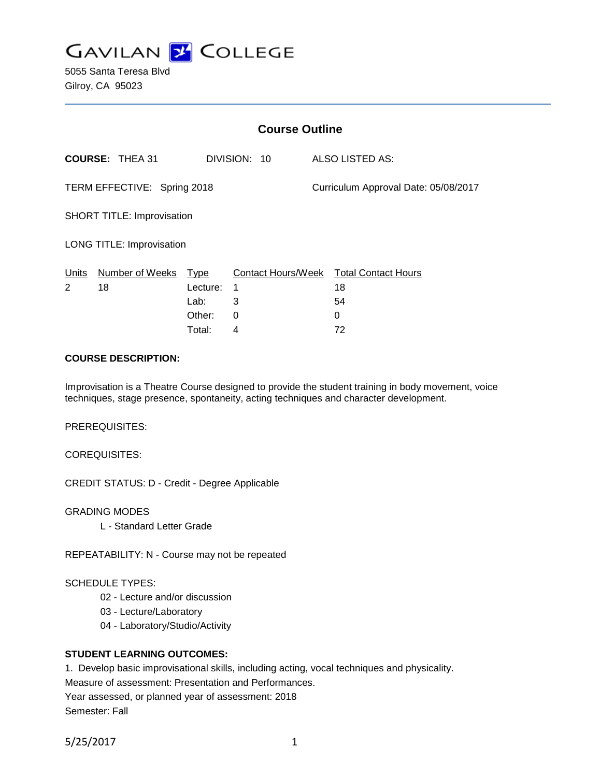

5055 Santa Teresa Blvd Gilroy, CA 95023

|                                   | <b>Course Outline</b>  |          |              |                                      |                                        |
|-----------------------------------|------------------------|----------|--------------|--------------------------------------|----------------------------------------|
|                                   | <b>COURSE: THEA 31</b> |          | DIVISION: 10 |                                      | ALSO LISTED AS:                        |
| TERM EFFECTIVE: Spring 2018       |                        |          |              | Curriculum Approval Date: 05/08/2017 |                                        |
| <b>SHORT TITLE: Improvisation</b> |                        |          |              |                                      |                                        |
| <b>LONG TITLE: Improvisation</b>  |                        |          |              |                                      |                                        |
| Units                             | Number of Weeks Type   |          |              |                                      | Contact Hours/Week Total Contact Hours |
| 2                                 | 18                     | Lecture: | 1            |                                      | 18                                     |
|                                   |                        | Lab:     | 3            |                                      | 54                                     |
|                                   |                        | Other:   | 0            |                                      | 0                                      |
|                                   |                        | Total:   | 4            |                                      | 72                                     |

#### **COURSE DESCRIPTION:**

Improvisation is a Theatre Course designed to provide the student training in body movement, voice techniques, stage presence, spontaneity, acting techniques and character development.

PREREQUISITES:

COREQUISITES:

CREDIT STATUS: D - Credit - Degree Applicable

GRADING MODES

L - Standard Letter Grade

REPEATABILITY: N - Course may not be repeated

#### SCHEDULE TYPES:

- 02 Lecture and/or discussion
- 03 Lecture/Laboratory
- 04 Laboratory/Studio/Activity

#### **STUDENT LEARNING OUTCOMES:**

1. Develop basic improvisational skills, including acting, vocal techniques and physicality.

Measure of assessment: Presentation and Performances.

Year assessed, or planned year of assessment: 2018 Semester: Fall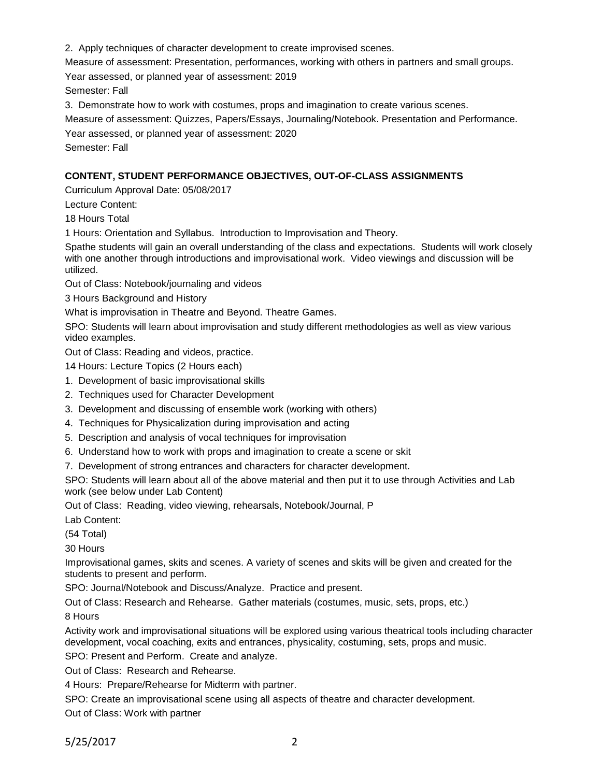2. Apply techniques of character development to create improvised scenes.

Measure of assessment: Presentation, performances, working with others in partners and small groups.

Year assessed, or planned year of assessment: 2019

Semester: Fall

3. Demonstrate how to work with costumes, props and imagination to create various scenes.

Measure of assessment: Quizzes, Papers/Essays, Journaling/Notebook. Presentation and Performance.

Year assessed, or planned year of assessment: 2020

Semester: Fall

## **CONTENT, STUDENT PERFORMANCE OBJECTIVES, OUT-OF-CLASS ASSIGNMENTS**

Curriculum Approval Date: 05/08/2017

Lecture Content:

18 Hours Total

1 Hours: Orientation and Syllabus. Introduction to Improvisation and Theory.

Spathe students will gain an overall understanding of the class and expectations. Students will work closely with one another through introductions and improvisational work. Video viewings and discussion will be utilized.

Out of Class: Notebook/journaling and videos

3 Hours Background and History

What is improvisation in Theatre and Beyond. Theatre Games.

SPO: Students will learn about improvisation and study different methodologies as well as view various video examples.

Out of Class: Reading and videos, practice.

14 Hours: Lecture Topics (2 Hours each)

- 1. Development of basic improvisational skills
- 2. Techniques used for Character Development
- 3. Development and discussing of ensemble work (working with others)
- 4. Techniques for Physicalization during improvisation and acting
- 5. Description and analysis of vocal techniques for improvisation
- 6. Understand how to work with props and imagination to create a scene or skit

7. Development of strong entrances and characters for character development.

SPO: Students will learn about all of the above material and then put it to use through Activities and Lab work (see below under Lab Content)

Out of Class: Reading, video viewing, rehearsals, Notebook/Journal, P

Lab Content:

(54 Total)

30 Hours

Improvisational games, skits and scenes. A variety of scenes and skits will be given and created for the students to present and perform.

SPO: Journal/Notebook and Discuss/Analyze. Practice and present.

Out of Class: Research and Rehearse. Gather materials (costumes, music, sets, props, etc.)

8 Hours

Activity work and improvisational situations will be explored using various theatrical tools including character development, vocal coaching, exits and entrances, physicality, costuming, sets, props and music.

SPO: Present and Perform. Create and analyze.

Out of Class: Research and Rehearse.

4 Hours: Prepare/Rehearse for Midterm with partner.

SPO: Create an improvisational scene using all aspects of theatre and character development.

Out of Class: Work with partner

5/25/2017 2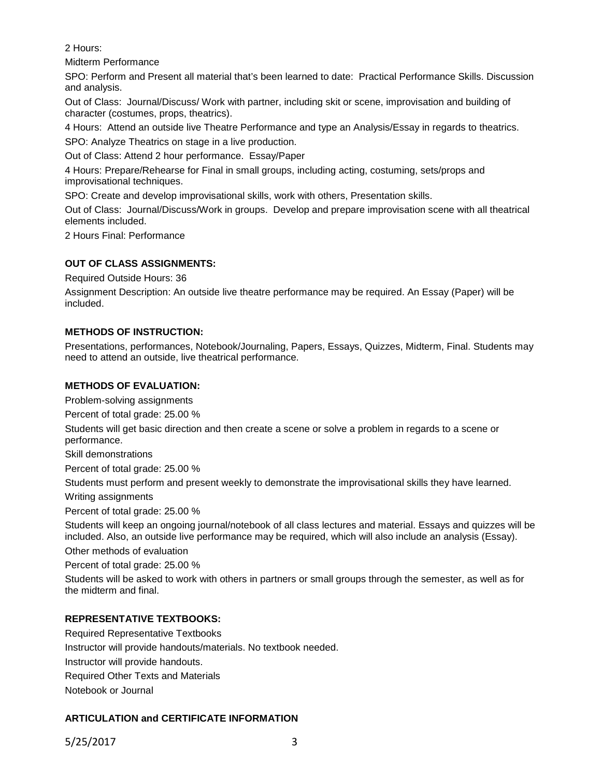2 Hours:

Midterm Performance

SPO: Perform and Present all material that's been learned to date: Practical Performance Skills. Discussion and analysis.

Out of Class: Journal/Discuss/ Work with partner, including skit or scene, improvisation and building of character (costumes, props, theatrics).

4 Hours: Attend an outside live Theatre Performance and type an Analysis/Essay in regards to theatrics. SPO: Analyze Theatrics on stage in a live production.

Out of Class: Attend 2 hour performance. Essay/Paper

4 Hours: Prepare/Rehearse for Final in small groups, including acting, costuming, sets/props and improvisational techniques.

SPO: Create and develop improvisational skills, work with others, Presentation skills.

Out of Class: Journal/Discuss/Work in groups. Develop and prepare improvisation scene with all theatrical elements included.

2 Hours Final: Performance

## **OUT OF CLASS ASSIGNMENTS:**

Required Outside Hours: 36

Assignment Description: An outside live theatre performance may be required. An Essay (Paper) will be included.

## **METHODS OF INSTRUCTION:**

Presentations, performances, Notebook/Journaling, Papers, Essays, Quizzes, Midterm, Final. Students may need to attend an outside, live theatrical performance.

## **METHODS OF EVALUATION:**

Problem-solving assignments

Percent of total grade: 25.00 %

Students will get basic direction and then create a scene or solve a problem in regards to a scene or performance.

Skill demonstrations

Percent of total grade: 25.00 %

Students must perform and present weekly to demonstrate the improvisational skills they have learned.

Writing assignments

Percent of total grade: 25.00 %

Students will keep an ongoing journal/notebook of all class lectures and material. Essays and quizzes will be included. Also, an outside live performance may be required, which will also include an analysis (Essay).

Other methods of evaluation

Percent of total grade: 25.00 %

Students will be asked to work with others in partners or small groups through the semester, as well as for the midterm and final.

#### **REPRESENTATIVE TEXTBOOKS:**

Required Representative Textbooks Instructor will provide handouts/materials. No textbook needed. Instructor will provide handouts. Required Other Texts and Materials Notebook or Journal

# **ARTICULATION and CERTIFICATE INFORMATION**